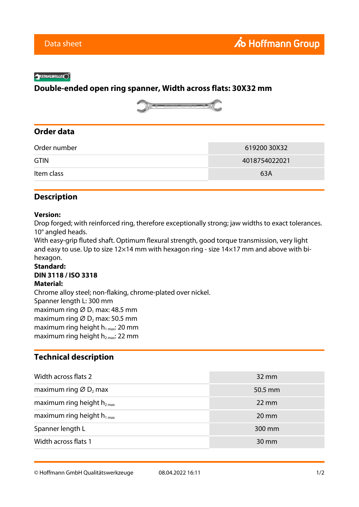#### **SYSTAHLWILLELO**

## **Double-ended open ring spanner, Width across flats: 30X32 mm**



# **Order data**

| Order number | 619200 30X32  |
|--------------|---------------|
| <b>GTIN</b>  | 4018754022021 |
| Item class   | 63A           |

## **Description**

#### **Version:**

Drop forged; with reinforced ring, therefore exceptionally strong; jaw widths to exact tolerances. 10° angled heads.

With easy-grip fluted shaft. Optimum flexural strength, good torque transmission, very light and easy to use. Up to size 12×14 mm with hexagon ring - size 14×17 mm and above with bihexagon.

### **Standard: DIN 3118 / ISO 3318 Material:**

Chrome alloy steel; non-flaking, chrome-plated over nickel. Spanner length L: 300 mm maximum ring  $\varnothing$  D<sub>1</sub> max: 48.5 mm maximum ring  $\varnothing$  D<sub>2</sub> max: 50.5 mm maximum ring height  $h_{1 \text{ max}}$ : 20 mm maximum ring height  $h_{2\text{ max}}$ : 22 mm

## **Technical description**

| Width across flats 2                          | $32 \,\mathrm{mm}$ |
|-----------------------------------------------|--------------------|
| maximum ring $\varnothing$ D <sub>2</sub> max | $50.5$ mm          |
| maximum ring height $h_{2max}$                | $22 \text{ mm}$    |
| maximum ring height $h_{1max}$                | $20 \text{ mm}$    |
| Spanner length L                              | 300 mm             |
| Width across flats 1                          | 30 mm              |